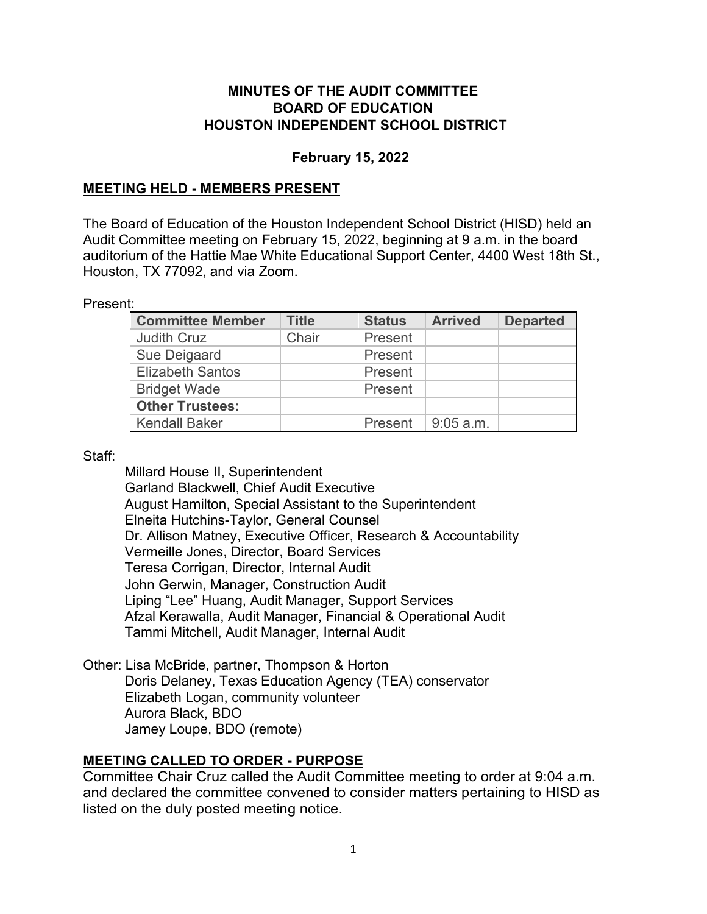#### **MINUTES OF THE AUDIT COMMITTEE BOARD OF EDUCATION HOUSTON INDEPENDENT SCHOOL DISTRICT**

#### **February 15, 2022**

#### **MEETING HELD - MEMBERS PRESENT**

The Board of Education of the Houston Independent School District (HISD) held an Audit Committee meeting on February 15, 2022, beginning at 9 a.m. in the board auditorium of the Hattie Mae White Educational Support Center, 4400 West 18th St., Houston, TX 77092, and via Zoom.

Present:

| <b>Committee Member</b> | <b>Title</b> | <b>Status</b> | <b>Arrived</b> | <b>Departed</b> |
|-------------------------|--------------|---------------|----------------|-----------------|
| <b>Judith Cruz</b>      | Chair        | Present       |                |                 |
| Sue Deigaard            |              | Present       |                |                 |
| <b>Elizabeth Santos</b> |              | Present       |                |                 |
| <b>Bridget Wade</b>     |              | Present       |                |                 |
| <b>Other Trustees:</b>  |              |               |                |                 |
| <b>Kendall Baker</b>    |              | Present       | ∣ 9:05 a.m.    |                 |

Staff:

Millard House II, Superintendent Garland Blackwell, Chief Audit Executive August Hamilton, Special Assistant to the Superintendent Elneita Hutchins-Taylor, General Counsel Dr. Allison Matney, Executive Officer, Research & Accountability Vermeille Jones, Director, Board Services Teresa Corrigan, Director, Internal Audit John Gerwin, Manager, Construction Audit Liping "Lee" Huang, Audit Manager, Support Services Afzal Kerawalla, Audit Manager, Financial & Operational Audit Tammi Mitchell, Audit Manager, Internal Audit

Other: Lisa McBride, partner, Thompson & Horton Doris Delaney, Texas Education Agency (TEA) conservator Elizabeth Logan, community volunteer Aurora Black, BDO Jamey Loupe, BDO (remote)

### **MEETING CALLED TO ORDER - PURPOSE**

Committee Chair Cruz called the Audit Committee meeting to order at 9:04 a.m. and declared the committee convened to consider matters pertaining to HISD as listed on the duly posted meeting notice.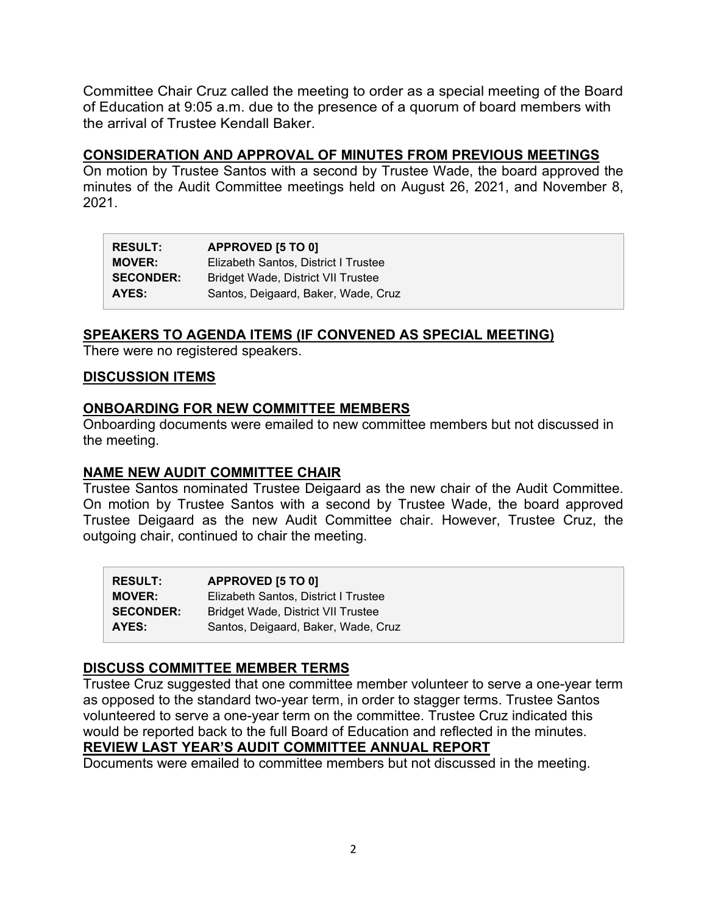Committee Chair Cruz called the meeting to order as a special meeting of the Board of Education at 9:05 a.m. due to the presence of a quorum of board members with the arrival of Trustee Kendall Baker.

#### **CONSIDERATION AND APPROVAL OF MINUTES FROM PREVIOUS MEETINGS**

On motion by Trustee Santos with a second by Trustee Wade, the board approved the minutes of the Audit Committee meetings held on August 26, 2021, and November 8, 2021.

| <b>RESULT:</b>   | APPROVED [5 TO 0]                         |
|------------------|-------------------------------------------|
| <b>MOVER:</b>    | Elizabeth Santos, District I Trustee      |
| <b>SECONDER:</b> | <b>Bridget Wade, District VII Trustee</b> |
| AYES:            | Santos, Deigaard, Baker, Wade, Cruz       |

#### **SPEAKERS TO AGENDA ITEMS (IF CONVENED AS SPECIAL MEETING)**

There were no registered speakers.

#### **DISCUSSION ITEMS**

#### **ONBOARDING FOR NEW COMMITTEE MEMBERS**

Onboarding documents were emailed to new committee members but not discussed in the meeting.

#### **NAME NEW AUDIT COMMITTEE CHAIR**

Trustee Santos nominated Trustee Deigaard as the new chair of the Audit Committee. On motion by Trustee Santos with a second by Trustee Wade, the board approved Trustee Deigaard as the new Audit Committee chair. However, Trustee Cruz, the outgoing chair, continued to chair the meeting.

| <b>RESULT:</b>   | APPROVED [5 TO 0]                         |
|------------------|-------------------------------------------|
| <b>MOVER:</b>    | Elizabeth Santos, District I Trustee      |
| <b>SECONDER:</b> | <b>Bridget Wade, District VII Trustee</b> |
| AYES:            | Santos, Deigaard, Baker, Wade, Cruz       |

#### **DISCUSS COMMITTEE MEMBER TERMS**

Trustee Cruz suggested that one committee member volunteer to serve a one-year term as opposed to the standard two-year term, in order to stagger terms. Trustee Santos volunteered to serve a one-year term on the committee. Trustee Cruz indicated this would be reported back to the full Board of Education and reflected in the minutes.

# **REVIEW LAST YEAR'S AUDIT COMMITTEE ANNUAL REPORT**

Documents were emailed to committee members but not discussed in the meeting.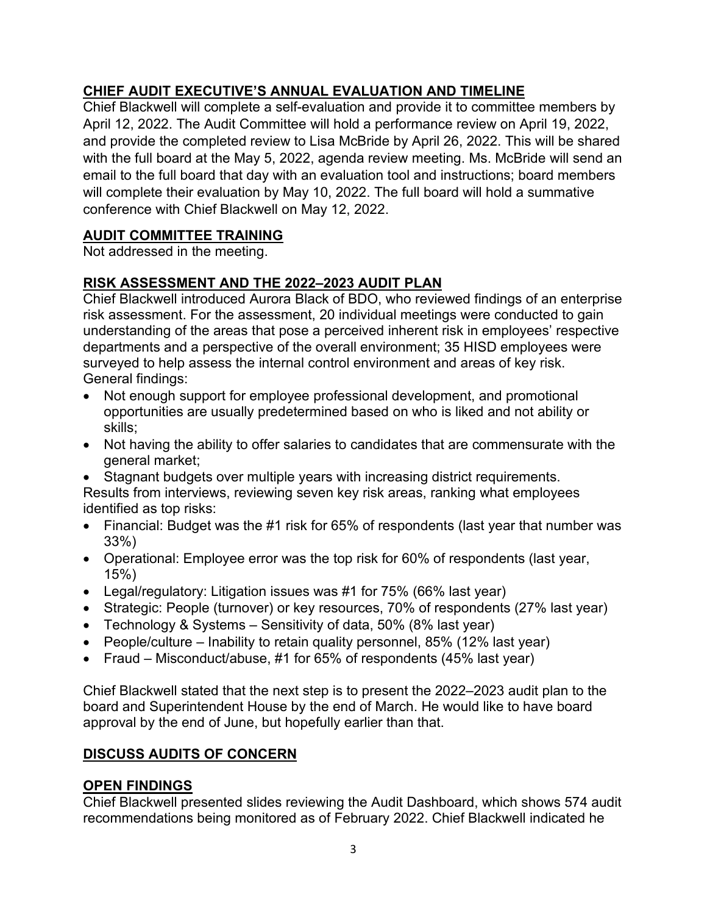# **CHIEF AUDIT EXECUTIVE'S ANNUAL EVALUATION AND TIMELINE**

Chief Blackwell will complete a self-evaluation and provide it to committee members by April 12, 2022. The Audit Committee will hold a performance review on April 19, 2022, and provide the completed review to Lisa McBride by April 26, 2022. This will be shared with the full board at the May 5, 2022, agenda review meeting. Ms. McBride will send an email to the full board that day with an evaluation tool and instructions; board members will complete their evaluation by May 10, 2022. The full board will hold a summative conference with Chief Blackwell on May 12, 2022.

# **AUDIT COMMITTEE TRAINING**

Not addressed in the meeting.

# **RISK ASSESSMENT AND THE 2022–2023 AUDIT PLAN**

Chief Blackwell introduced Aurora Black of BDO, who reviewed findings of an enterprise risk assessment. For the assessment, 20 individual meetings were conducted to gain understanding of the areas that pose a perceived inherent risk in employees' respective departments and a perspective of the overall environment; 35 HISD employees were surveyed to help assess the internal control environment and areas of key risk. General findings:

- Not enough support for employee professional development, and promotional opportunities are usually predetermined based on who is liked and not ability or skills;
- Not having the ability to offer salaries to candidates that are commensurate with the general market;
- Stagnant budgets over multiple years with increasing district requirements.

Results from interviews, reviewing seven key risk areas, ranking what employees identified as top risks:

- Financial: Budget was the #1 risk for 65% of respondents (last year that number was 33%)
- Operational: Employee error was the top risk for 60% of respondents (last year, 15%)
- Legal/regulatory: Litigation issues was #1 for 75% (66% last year)
- Strategic: People (turnover) or key resources, 70% of respondents (27% last year)
- Technology & Systems Sensitivity of data, 50% (8% last year)
- People/culture Inability to retain quality personnel, 85% (12% last year)
- Fraud Misconduct/abuse, #1 for 65% of respondents (45% last year)

Chief Blackwell stated that the next step is to present the 2022–2023 audit plan to the board and Superintendent House by the end of March. He would like to have board approval by the end of June, but hopefully earlier than that.

# **DISCUSS AUDITS OF CONCERN**

# **OPEN FINDINGS**

Chief Blackwell presented slides reviewing the Audit Dashboard, which shows 574 audit recommendations being monitored as of February 2022. Chief Blackwell indicated he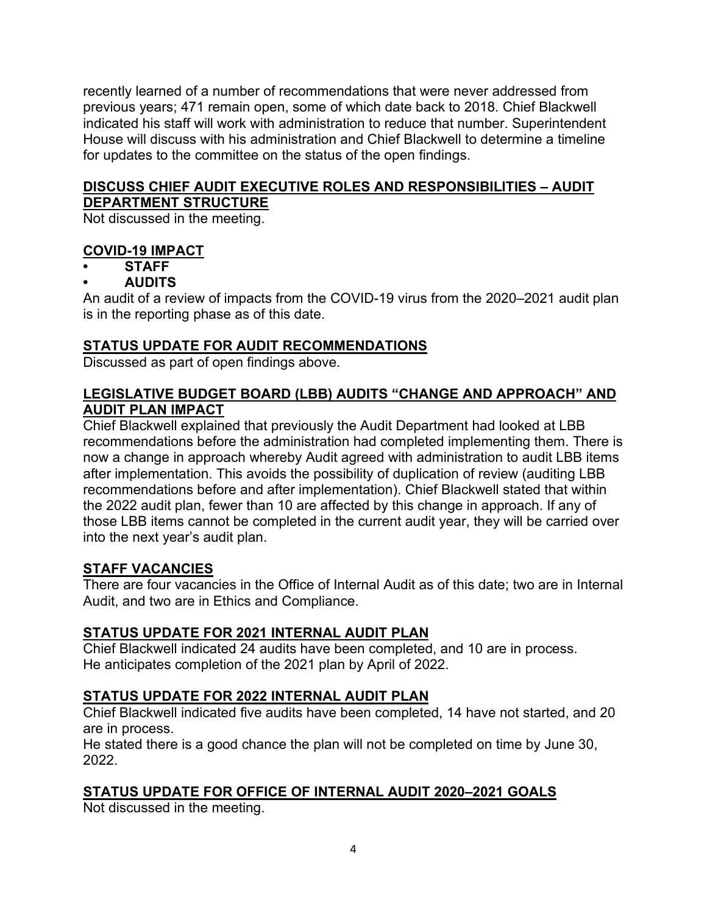recently learned of a number of recommendations that were never addressed from previous years; 471 remain open, some of which date back to 2018. Chief Blackwell indicated his staff will work with administration to reduce that number. Superintendent House will discuss with his administration and Chief Blackwell to determine a timeline for updates to the committee on the status of the open findings.

# **DISCUSS CHIEF AUDIT EXECUTIVE ROLES AND RESPONSIBILITIES – AUDIT DEPARTMENT STRUCTURE**

Not discussed in the meeting.

### **COVID-19 IMPACT**

**• STAFF**

# **• AUDITS**

An audit of a review of impacts from the COVID-19 virus from the 2020–2021 audit plan is in the reporting phase as of this date.

# **STATUS UPDATE FOR AUDIT RECOMMENDATIONS**

Discussed as part of open findings above.

#### **LEGISLATIVE BUDGET BOARD (LBB) AUDITS "CHANGE AND APPROACH" AND AUDIT PLAN IMPACT**

Chief Blackwell explained that previously the Audit Department had looked at LBB recommendations before the administration had completed implementing them. There is now a change in approach whereby Audit agreed with administration to audit LBB items after implementation. This avoids the possibility of duplication of review (auditing LBB recommendations before and after implementation). Chief Blackwell stated that within the 2022 audit plan, fewer than 10 are affected by this change in approach. If any of those LBB items cannot be completed in the current audit year, they will be carried over into the next year's audit plan.

### **STAFF VACANCIES**

There are four vacancies in the Office of Internal Audit as of this date; two are in Internal Audit, and two are in Ethics and Compliance.

### **STATUS UPDATE FOR 2021 INTERNAL AUDIT PLAN**

Chief Blackwell indicated 24 audits have been completed, and 10 are in process. He anticipates completion of the 2021 plan by April of 2022.

### **STATUS UPDATE FOR 2022 INTERNAL AUDIT PLAN**

Chief Blackwell indicated five audits have been completed, 14 have not started, and 20 are in process.

He stated there is a good chance the plan will not be completed on time by June 30, 2022.

### **STATUS UPDATE FOR OFFICE OF INTERNAL AUDIT 2020–2021 GOALS**

Not discussed in the meeting.